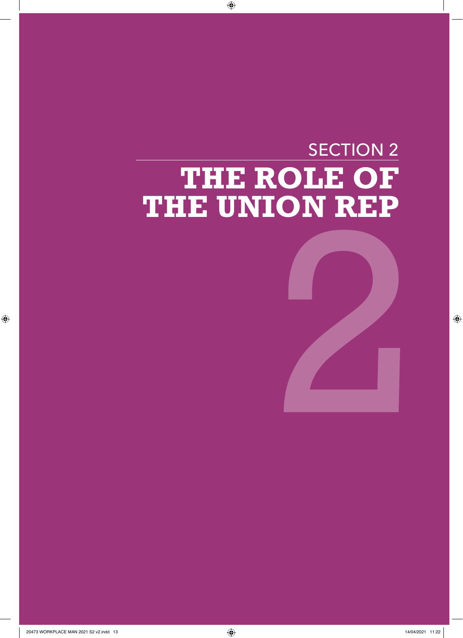# SECTION 2 **THE ROLE OF THE UNION REP** 2

 $\bigoplus$ 

 $\bigoplus$ 

 $\bigoplus$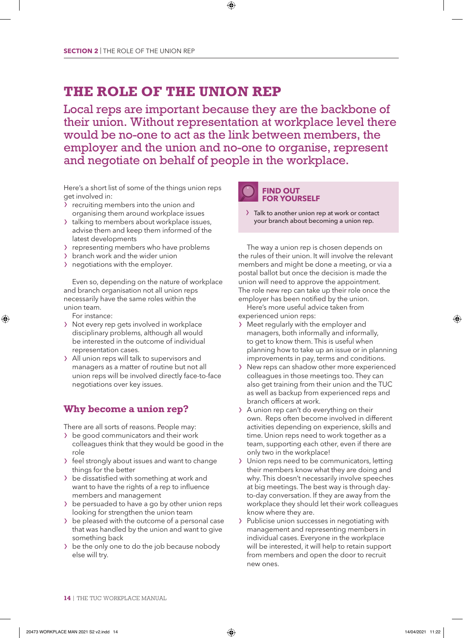# **THE ROLE OF THE UNION REP**

Local reps are important because they are the backbone of their union. Without representation at workplace level there would be no-one to act as the link between members, the employer and the union and no-one to organise, represent and negotiate on behalf of people in the workplace.

⊕

Here's a short list of some of the things union reps get involved in:

- recruiting members into the union and organising them around workplace issues
- > talking to members about workplace issues, advise them and keep them informed of the latest developments
- › representing members who have problems
- > branch work and the wider union
- › negotiations with the employer.

Even so, depending on the nature of workplace and branch organisation not all union reps necessarily have the same roles within the union team.

For instance:

⊕

- › Not every rep gets involved in workplace disciplinary problems, although all would be interested in the outcome of individual representation cases.
- › All union reps will talk to supervisors and managers as a matter of routine but not all union reps will be involved directly face-to-face negotiations over key issues.

# **Why become a union rep?**

There are all sorts of reasons. People may:

- › be good communicators and their work colleagues think that they would be good in the role
- › feel strongly about issues and want to change things for the better
- > be dissatisfied with something at work and want to have the rights of a rep to influence members and management
- $\lambda$  be persuaded to have a go by other union reps looking for strengthen the union team
- › be pleased with the outcome of a personal case that was handled by the union and want to give something back
- › be the only one to do the job because nobody else will try.



> Talk to another union rep at work or contact your branch about becoming a union rep.

The way a union rep is chosen depends on the rules of their union. It will involve the relevant members and might be done a meeting, or via a postal ballot but once the decision is made the union will need to approve the appointment. The role new rep can take up their role once the employer has been notified by the union.

Here's more useful advice taken from experienced union reps:

- › Meet regularly with the employer and managers, both informally and informally, to get to know them. This is useful when planning how to take up an issue or in planning improvements in pay, terms and conditions.
- › New reps can shadow other more experienced colleagues in those meetings too. They can also get training from their union and the TUC as well as backup from experienced reps and branch officers at work.
- > A union rep can't do everything on their own. Reps often become involved in different activities depending on experience, skills and time. Union reps need to work together as a team, supporting each other, even if there are only two in the workplace!
- › Union reps need to be communicators, letting their members know what they are doing and why. This doesn't necessarily involve speeches at big meetings. The best way is through dayto-day conversation. If they are away from the workplace they should let their work colleagues know where they are.
- › Publicise union successes in negotiating with management and representing members in individual cases. Everyone in the workplace will be interested, it will help to retain support from members and open the door to recruit new ones.

**14** | THE TUC WORKPLACE MANUAL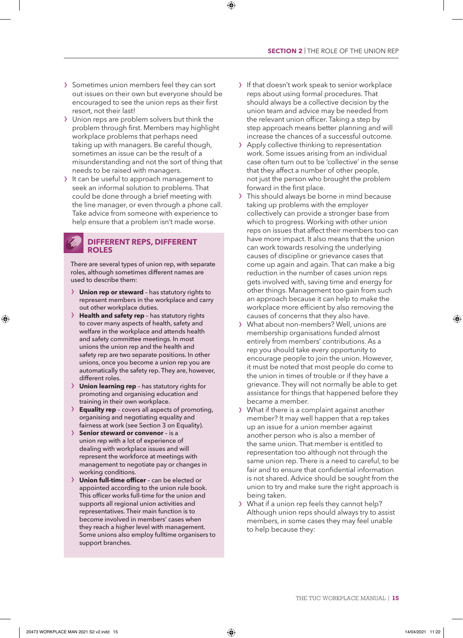#### **SECTION 2** | THE ROLE OF THE UNION REP

- › Sometimes union members feel they can sort out issues on their own but everyone should be encouraged to see the union reps as their first resort, not their last!
- › Union reps are problem solvers but think the problem through first. Members may highlight workplace problems that perhaps need taking up with managers. Be careful though, sometimes an issue can be the result of a misunderstanding and not the sort of thing that needs to be raised with managers.
- > It can be useful to approach management to seek an informal solution to problems. That could be done through a brief meeting with the line manager, or even through a phone call. Take advice from someone with experience to help ensure that a problem isn't made worse.

## **DIFFERENT REPS, DIFFERENT ROLES**

There are several types of union rep, with separate roles, although sometimes different names are used to describe them:

- › **Union rep or steward** has statutory rights to represent members in the workplace and carry out other workplace duties.
- › **Health and safety rep** has statutory rights to cover many aspects of health, safety and welfare in the workplace and attends health and safety committee meetings. In most unions the union rep and the health and safety rep are two separate positions. In other unions, once you become a union rep you are automatically the safety rep. They are, however, different roles.
- › **Union learning rep** has statutory rights for promoting and organising education and training in their own workplace.
- › **Equality rep** covers all aspects of promoting, organising and negotiating equality and fairness at work (see Section 3 on Equality).
- › **Senior steward or convenor** is a union rep with a lot of experience of dealing with workplace issues and will represent the workforce at meetings with management to negotiate pay or changes in working conditions.
- › **Union full-time officer** can be elected or appointed according to the union rule book. This officer works full-time for the union and supports all regional union activities and representatives. Their main function is to become involved in members' cases when they reach a higher level with management. Some unions also employ fulltime organisers to support branches.

> If that doesn't work speak to senior workplace reps about using formal procedures. That should always be a collective decision by the union team and advice may be needed from the relevant union officer. Taking a step by step approach means better planning and will increase the chances of a successful outcome.

⊕

- › Apply collective thinking to representation work. Some issues arising from an individual case often turn out to be 'collective' in the sense that they affect a number of other people, not just the person who brought the problem forward in the first place.
- This should always be borne in mind because taking up problems with the employer collectively can provide a stronger base from which to progress. Working with other union reps on issues that affect their members too can have more impact. It also means that the union can work towards resolving the underlying causes of discipline or grievance cases that come up again and again. That can make a big reduction in the number of cases union reps gets involved with, saving time and energy for other things. Management too gain from such an approach because it can help to make the workplace more efficient by also removing the causes of concerns that they also have.
- › What about non-members? Well, unions are membership organisations funded almost entirely from members' contributions. As a rep you should take every opportunity to encourage people to join the union. However, it must be noted that most people do come to the union in times of trouble or if they have a grievance. They will not normally be able to get assistance for things that happened before they became a member.
- › What if there is a complaint against another member? It may well happen that a rep takes up an issue for a union member against another person who is also a member of the same union. That member is entitled to representation too although not through the same union rep. There is a need to careful, to be fair and to ensure that confidential information is not shared. Advice should be sought from the union to try and make sure the right approach is being taken.
- › What if a union rep feels they cannot help? Although union reps should always try to assist members, in some cases they may feel unable to help because they: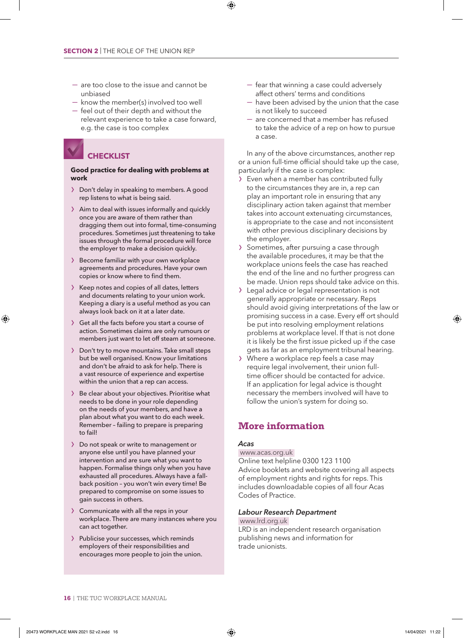- are too close to the issue and cannot be unbiased
- know the member(s) involved too well
- feel out of their depth and without the relevant experience to take a case forward, e.g. the case is too complex

# **CHECKLIST**

#### **Good practice for dealing with problems at work**

- › Don't delay in speaking to members. A good rep listens to what is being said.
- › Aim to deal with issues informally and quickly once you are aware of them rather than dragging them out into formal, time-consuming procedures. Sometimes just threatening to take issues through the formal procedure will force the employer to make a decision quickly.
- › Become familiar with your own workplace agreements and procedures. Have your own copies or know where to find them.
- › Keep notes and copies of all dates, letters and documents relating to your union work. Keeping a diary is a useful method as you can always look back on it at a later date.
- › Get all the facts before you start a course of action. Sometimes claims are only rumours or members just want to let off steam at someone.
- > Don't try to move mountains. Take small steps but be well organised. Know your limitations and don't be afraid to ask for help. There is a vast resource of experience and expertise within the union that a rep can access.
- > Be clear about your objectives. Prioritise what needs to be done in your role depending on the needs of your members, and have a plan about what you want to do each week. Remember – failing to prepare is preparing to fail!
- › Do not speak or write to management or anyone else until you have planned your intervention and are sure what you want to happen. Formalise things only when you have exhausted all procedures. Always have a fallback position – you won't win every time! Be prepared to compromise on some issues to gain success in others.
- › Communicate with all the reps in your workplace. There are many instances where you can act together.
- › Publicise your successes, which reminds employers of their responsibilities and encourages more people to join the union.

— fear that winning a case could adversely affect others' terms and conditions

⊕

- have been advised by the union that the case is not likely to succeed
- are concerned that a member has refused to take the advice of a rep on how to pursue a case.

In any of the above circumstances, another rep or a union full-time official should take up the case, particularly if the case is complex:

- Even when a member has contributed fully to the circumstances they are in, a rep can play an important role in ensuring that any disciplinary action taken against that member takes into account extenuating circumstances, is appropriate to the case and not inconsistent with other previous disciplinary decisions by the employer.
- › Sometimes, after pursuing a case through the available procedures, it may be that the workplace unions feels the case has reached the end of the line and no further progress can be made. Union reps should take advice on this.
- › Legal advice or legal representation is not generally appropriate or necessary. Reps should avoid giving interpretations of the law or promising success in a case. Every eff ort should be put into resolving employment relations problems at workplace level. If that is not done it is likely be the first issue picked up if the case gets as far as an employment tribunal hearing.
- › Where a workplace rep feels a case may require legal involvement, their union fulltime officer should be contacted for advice. If an application for legal advice is thought necessary the members involved will have to follow the union's system for doing so.

# **More information**

#### *Acas*

### www.acas.org.uk

Online text helpline 0300 123 1100 Advice booklets and website covering all aspects of employment rights and rights for reps. This includes downloadable copies of all four Acas Codes of Practice.

#### *Labour Research Department*

 www.lrd.org.uk LRD is an independent research organisation

publishing news and information for trade unionists.

**<sup>16</sup>** | THE TUC WORKPLACE MANUAL